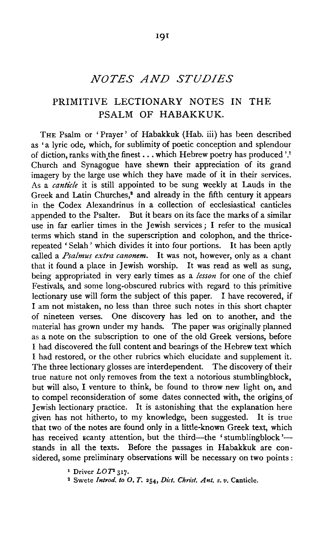# *NOTES AND STUDIES*

## PRIMITIVE LECTIONARY NOTES IN THE PSALM OF HABAKKUK.

THE Psalm or 'Prayer' of Habakkuk (Hab. iii) has been described as 'a lyric ode, which, for sublimity of poetic conception and splendour of diction, ranks with the finest  $\dots$  which Hebrew poetry has produced '.<sup>1</sup> Church and Synagogue have shewn their appreciation of its grand imagery by the large use which they have made of it in their services. As a *canticle* it is still appointed to be sung weekly at Lauds in the Greek and Latin Churches,<sup>2</sup> and already in the fifth century it appears in the Codex Alexandrinus in a collection of ecclesiastical canticles appended to the Psalter. But it bears on its face the marks of a similar use in far earlier times in the Jewish services ; I refer to the musical terms which stand in the superscription and colophon, and the thricerepeated 'Selah' which divides it into four portions. It has been aptly called a *Psalmus extra canonem.* It was not, however, only as a chant that it found a place in Jewish worship. It was read as well as sung, being appropriated in very early times as a *lesson* for one of the chief Festivals, and some long-obscured rubrics with regard to this primitive lectionary use will form the subject of this paper. I have recovered, if I am not mistaken, no less than three such notes in this short chapter of nineteen verses. One discovery has led on to another, and the material has grown under my hands. The paper was originally planned as a note on the subscription to one of the old Greek versions, before I had discovered the full content and bearings of the Hebrew text which I had restored, or the other rubrics which elucidate and supplement it. The three lectionary glosses are interdependent. The discovery of their true nature not only removes from the text a notorious stumblingblock, but will also, I venture to think, be found to throw new light on, and to compel reconsideration of some dates connected with, the origins of Jewish lectionary practice. It is astonishing that the explanation here given has not hitherto, to my knowledge, been suggested. It is true that two of the notes are found only in a little-known Greek text, which has received scanty attention, but the third-the 'stumblingblock'stands in all the texts. Before the passages in Habakkuk are considered, some preliminary observations will be necessary on two points :

<sup>1</sup> Driver *LOT2* 317.

<sup>2</sup> Swete *Introd. to* 0. *T.* 254, *Diet. Christ. Ant. s. v.* Canticle.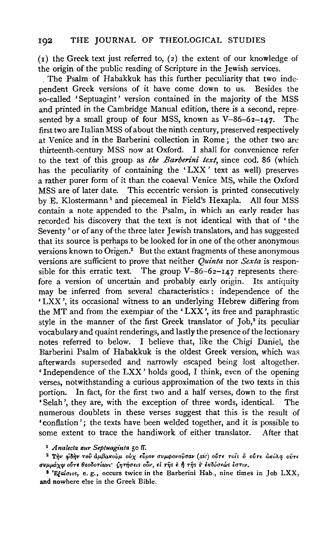$(1)$  the Greek text just referred to,  $(2)$  the extent of our knowledge of the origin of the public reading of Scripture in the Jewish services.

. The Psalm of Habakkuk has this further peculiarity that two independent Greek versions of it have come down to us. Besides the so-called 'Septuagint' version contained in the majority of the MSS and printed in the Cambridge Manual edition, there is a second, represented by a small group of four MSS, known as  $V-86-62-147$ . The first two are Italian MSS of about the ninth century, preserved respectively at Venice and in the Barberini collection in Rome; the other two are thirteenth-century MSS now at Oxford. I shall for convenience refer to the text of this group as *the Barberini text,* since cod. 86 (which has the peculiarity of containing the 'LXX ' text as well) preserves a rather purer form of it than the coaeval Venice MS, while the Oxford MSS are of later date. This eccentric version is printed consecutively by E. Klostermann<sup>1</sup> and piecemeal in Field's Hexapla. All four MSS contain a note appended to the Psalm, in which an early reader has recorded his discovery that the text is not identical with that of ' the Seventy' or of any of the three later Jewish translators, and has suggested that its source is perhaps to be looked for in one of the other anonymous versions known to Origen.<sup>2</sup> But the extant fragments of these anonymous versions are sufficient to prove that neither *Quinta* nor *Sexta* is responsible for this erratic text. The group  $V-86-62-147$  represents therefore a version of uncertain and probably early origin. Its antiquity may be inferred from several characteristics : independence of the 'LXX', its occasional witness to an underlying Hebrew differing from the MT and from the exempiar of the 'LXX', its free and paraphrastic style in the manner of the first Greek translator of  $\text{Job},^3$  its peculiar vocabulary and quaint renderings, and lastly the presence of the lectionary notes referred to below. I believe that, like the Chigi Daniel, the Barberini Psalm of Habakkuk is the oldest Greek version, which was afterwards superseded and narrowly escaped being lost altogether. ' Independence of the LXX ' holds good, I think, even of the opening verses, notwithstanding a curious approximation of the two texts in this portion. In fact, for the first two and a half verses, down to the first • Selah ', they are, with the exception of three words, identical. The numerous doublets in these verses suggest that this is the result of 'conflation'; the texts have been welded together, and it is possible to some extent to trace the handiwork of either translator. After that

#### <sup>1</sup>*Analecta sur Septuaginta* 50 ff.

**2** T~v q)S~v *ToV d.J.tl3al(oVJJ. oVx eVpov uvpcpovoVuav (sic)* **oiJTE** *Tot's 0* **oilrE** cl~t6i\q. *oilTE*   $\sigma$ *υμμάχφ ούτε θεοδοτίωνι* 'ζητήσεις ούν, εί της ε ή της ξ έκδύσεώς έστιν.

<sup>3</sup> Etalσιos, e.g., occurs twice in the Barberini Hab., nine times in Job LXX, and nowhere else in the Greek Bible.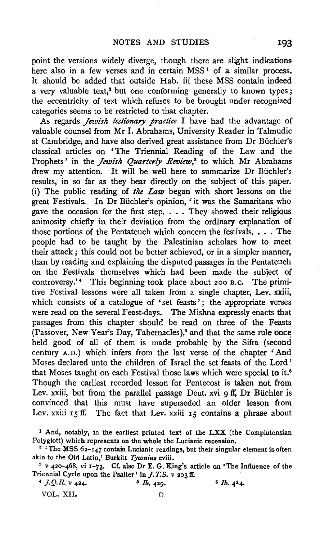point the versions widely diverge, though there are slight indications here also in a few verses and in certain  $MSS<sup>1</sup>$  of a similar process. It should be added that outside Hab. iii these MSS contain indeed a very valuable text,<sup>2</sup> but one conforming generally to known types; the eccentricity of text which refuses to be brought under recognized categories seems to be restricted to that chapter.

As regards *Jewish lectionary practice* I have had the advantage of valuable counsel from Mr I. Abrahams, University Reader in Talmudic at Cambridge, and have also derived great assistance from Dr Biichler's classical articles on 'The Triennial Reading of the Law and the Prophets' in the *Jewish Quarterly Review,*8 to which Mr Abrahams drew my attention. It will be well here to summarize Dr Biichler's results, in so far as they bear directly on the subject of this paper. (i) The public reading of *the Law* began with short lessons on the great Festivals. In Dr Biichler's opinion, 'it was the Samaritans who gave the occasion for the first step.  $\ldots$  They showed their religious animosity chiefly in their deviation from the ordinary explanation of those portions of the Pentateuch which concern the festivals. • . . The people had to be taught by the Palestinian scholars how to meet their attack; this could not be better achieved, or in a simpler manner, than by reading and explaining the disputed passages in the Pentateuch on the Festivals themselves which had been made the subject of controversy.'<sup>4</sup> This beginning took place about 200 B.C. The primitive Festival lessons were all taken from a single chapter, Lev. xxiii, which consists of a catalogue of 'set feasts'; the appropriate verses were read on the several Feast-days. The Mishna expressly enacts that passages from this chapter should be read on three of the Feasts (Passover, New Year's Day, Tabernacles),<sup>5</sup> and that the same rule once held good of all of them is made probable by the Sifra (second century A. D.) which infers from the last verse of the chapter 'And Moses declared unto the children of Israel the set feasts of the Lord' that Moses taught on each Festival those laws which were special to it.6 Though the earliest recorded lesson for Pentecost is taken not from Lev. xxiii, but from the parallel passage Deut. xvi 9 ff, Dr Büchler is convinced that this must have superseded an older lesson from Lev. xxiii 15 ff. The fact that Lev. xxiii 15 contains a phrase about

<sup>1</sup> And, notably, in the earliest printed text of the LXX (the Complutensian

Polyglott) which represents on the whole the Lucianic recension.<br><sup>2</sup> 'The MSS 62-147 contain Lucianic readings, but their singular element is often akin to the Old Latin,' Burkitt *Tyconius* cviii.

<sup>3</sup> v 420-468, vi 1-73. Cf. also Dr E. G. King's article on 'The Influence of the Triennial Cycle upon the Psalter' in *J.T.S.* v 203 ff.

 $4 J. Q.R. v 424.$   $5 Jb. 429.$   $6 Jb. 424.$ VOL. XII. O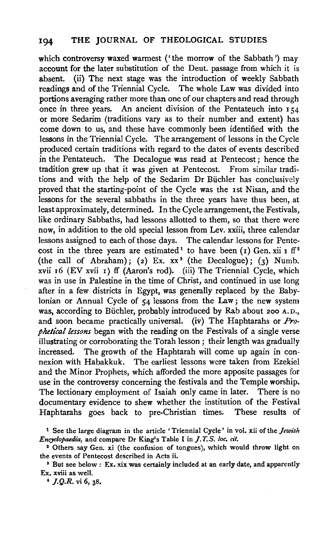which controversy waxed warmest ('the morrow of the Sabbath') may account for the later substitution of the Deut. passage from which it is absent. (ii) The next stage was the introduction of weekly Sabbath readings and of the Triennial Cycle. The whole Law was divided into portions averaging rather more than one of our chapters and read through once in three years. An ancient division of the Pentateuch into 154 or more Sedarim (traditions vary as to their number and extent) has come down to us, and these have commonly been identified with the lessons in the Triennial Cycle. The arrangement of lessons in the Cycle produced certain traditions with regard to the dates of events described in the Pentateuch. The Decalogue was read at Pentecost ; hence the tradition grew up that it was given at Pentecost. From similar tradi· tions and with the help of the Sedarim Dr Biichler has conclusively proved that the starting-point of the Cycle was the 1st Nisan, and the lessons for the several sabbaths in the three years have thus been, at least approximately, determined. In the Cycle arrangement, the Festivals, like ordinary Sabbaths, had lessons allotted to them, so that there were now, in addition to the old special lesson from Lev. xxiii, three calendar lessons assigned to each of those days. The calendar lessons for Pentecost in the three years are estimated<sup>1</sup> to have been (1) Gen. xii 1 ff<sup>2</sup> (the call of Abraham); (2) Ex.  $xx^3$  (the Decalogue); (3) Numb. xvii 16 (EV xvii x) ff (Aaron's rod). (iii) The Triennial Cycle, which was in use in Palestine in the time of Christ, and continued in use long after in a few districts in Egypt, was generally replaced by the Babylonian or Annual Cycle of 54 lessons from the Law ; the new system was, according to Biichler, probably introduced by Rab about 200 A. D., and soon became practically universal. (iv) The Haphtarahs or *Prophetical lessons* began with the reading on the Festivals of a single verse illustrating or corroborating the Torah lesson; their length was gradually increased. The growth of the Haphtarah will come up again in connexion with Habakkuk. The earliest lessons were taken from Ezekiel and the Minor Prophets, which afforded the more apposite passages for use in the controversy concerning the festivals and the Temple worship. The lectionary employment of Isaiah only came in later. There is no documentary evidence to shew whether the institution of the Festival Haphtarahs goes back to pre-Christian times. These results of

• *].Q.R.* vi 6, 38.

<sup>1</sup> See the large diagram in the article ' Triennial Cycle ' in vol. xii of the *Jewish Encyclopaedia,* and compare Dr King's Table I in *].T.S. loc. cif.* 

<sup>&</sup>lt;sup>2</sup> Others say Gen. xi (the confusion of tongues), which would throw light on the events of Pentecost described in Acts ii.

<sup>•</sup> But see below : Ex. xix was certainly included at an early date, and apparently Ex. xviii as well.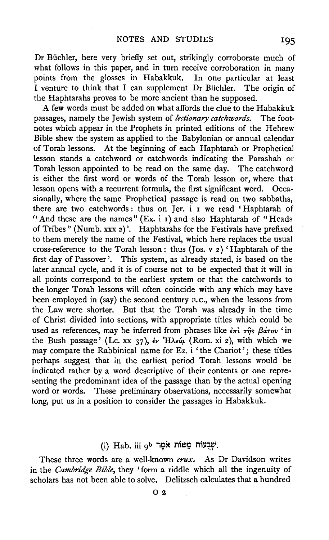Dr Biichler, here very briefly set out, strikingly corroborate much of what follows in this paper, and in turn receive corroboration in many points from the glosses in Habakkuk. In one particular at least I venture to think that I can supplement Dr Biichler. The origin of the Haphtarahs proves to be more ancient than he supposed.

A few words must be added on what affords the clue to the Habakkuk issages, namely the Jewish system of *lectionary catchwords*. The footpassages, namely the Jewish system of *lectionary catchwords*. notes which appear in the Prophets in printed editions of the Hebrew Bible shew the system as applied to the Babylonian or annual calendar of Torah lessons. At the beginning of each Haphtarah or Prophetical lesson stands a catchword or catchwords indicating the Parashah or Torah lesson appointed to be read on the same day. The catchword is either the first word or words of the Torah lesson or, where that lesson opens with a recurrent formula, the first significant word. Occasicmally, where the same Prophetical passage is read on two sabbaths, there are two catchwords: thus on Jer. i I we read 'Haphtarah of "And these are the names" (Ex. i I) and also Haphtarah of "Heads of Tribes" (Numb. xxx  $2$ )'. Haphtarahs for the Festivals have prefixed to them merely the name of the Festival, which here replaces the usual cross-reference to the Torah lesson: thus (Jos. v  $2$ ) 'Haphtarah of the first day of Passover '. This system, as already stated, is based on the later annual cycle, and it is of course not to be expected that it will in all points correspond to the earliest system or that the catchwords to the longer Torah lessons will often coincide with any which may have been employed in (say) the second century B.c., when the lessons from the Law were shorter. But that the Torah was already in the time of Christ divided into sections, with appropriate titles which could be used as references, may be inferred from phrases like  $\epsilon \pi i$   $\tau \hat{\eta} s$   $\beta a \tau \sigma v$  <sup>c</sup> in the Bush passage' (Lc. xx 37),  $\partial v$  'H $\lambda \partial \Omega$ <sup>'</sup> (Rom. xi 2), with which we may compare the Rabbinical name for Ez. i 'the Chariot'; these titles perhaps suggest that in the earliest period Torah lessons would be indicated rather by a word descriptive of their contents or one representing the predominant idea of the passage than by the actual opening word or words. These preliminary observations, necessarily somewhat long, put us in a position to consider the passages in Habakkuk.

## (i) Hab. iii  $9^{\text{b}}$  שְׁבְעוֹת מַטּוֹת  $\ddot{ }$

These three words are a well-known  $crux$ . As Dr Davidson writes in the *Cambridge Bible,* they ' form a riddle which all the ingenuity of scholars has not been able to solve. Delitzsch calculates that a hundred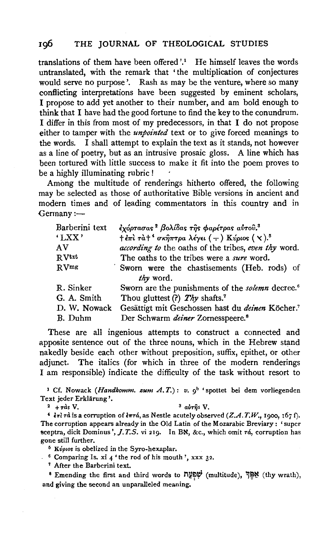translations of them have been offered  $\cdot$ <sup>1</sup> He himself leaves the words untranslated, with the remark that 'the multiplication of conjectures would serve no purpose'. Rash as may be the venture, where so many conflicting interpretations have been suggested by eminent scholars, I propose to add yet another to their number, and am bold enough to think that I have had the good fortune to find the key to the conundrum. I differ in this from most of my predecessors, in that I do not propose either to tamper with the *unpointed* text or to give forced meanings to the words. I shall attempt to explain the text as it stands, not however as a line of poetry, but as an intrusive prosaic gloss. A line which has been tortured with little success to make it fit into the poem proves to be a highly illuminating rubric !

Among the multitude of renderings hitherto offered, the following may be selected as those of authoritative Bible versions in ancient and modern times and of leading commentators in this country and in Germany:-

| Barberini text                                      | έχόρτασας <sup>2</sup> βολίδας της φαρέτρας αύτου. <sup>3</sup>                                                                                                             |  |  |  |
|-----------------------------------------------------|-----------------------------------------------------------------------------------------------------------------------------------------------------------------------------|--|--|--|
| 'IXX'                                               | $+\epsilon \pi i \tau \dot{\alpha} + \epsilon \sigma \kappa \hat{\eta} \pi \tau \rho \alpha \lambda \epsilon \gamma \epsilon \iota$ ( - ) Κύριος ( $\times$ ). <sup>5</sup> |  |  |  |
| AV                                                  | <i>according to the oaths of the tribes, even thy word.</i>                                                                                                                 |  |  |  |
| R Vtxt<br>The oaths to the tribes were a sure word. |                                                                                                                                                                             |  |  |  |
| <b>RVmg</b>                                         | Sworn were the chastisements (Heb. rods) of                                                                                                                                 |  |  |  |
|                                                     | <i>thy</i> word.                                                                                                                                                            |  |  |  |
| R. Sinker                                           | Sworn are the punishments of the <i>solemn</i> decree. <sup>6</sup>                                                                                                         |  |  |  |
| G. A. Smith                                         | Thou gluttest $(2)$ Thy shafts. <sup>7</sup>                                                                                                                                |  |  |  |
| D. W. Nowack                                        | Gesättigt mit Geschossen hast du deinen Köcher.7                                                                                                                            |  |  |  |
| B. Duhm                                             | Der Schwarm <i>deiner</i> Zornesspeere. <sup>8</sup>                                                                                                                        |  |  |  |

These are all ingenious attempts to construct a connected and apposite sentence out of the three nouns, which in the Hebrew stand nakedly beside each other without preposition, suffix, epithet, or other adjunct. The italics (for which in three of the modern renderings I am responsible) indicate the difficulty of the task without resort to

<sup>1</sup> Cf. Nowack *(Handkomm.*  $sum A$ *, T.)*: *v.*  $9^b$  'spottet bei dem vorliegenden Text jeder Erklärung'.

<sup>2</sup> + τα *V*. <sup>3</sup> *ai*τη <sup>3</sup> *ai*τη *s* V.<br><sup>4</sup> επι τα is a corruption of επτά, as Nestle acutely observed (*Z.A.T.W.*, 1900, 167 f). The corruption appears already in the Old Latin of the Mozarabic Breviary: 'super sceptra, dicit Dominus', *J*, *T*, *S*. vi 219. In BN, &c., which omit  $\tau$ d, corruption has gone still further.<br><sup>6</sup> *Kvpios* is obelized in the Syro-hexaplar.<br><sup>6</sup> Comparing Is. xi 4 'the rod of his mouth ', xxx 32.

• After the Barberini text.

8 Emending the first and third words to "שַׁמְעָל (multitude), 'אֲפָּלָה (thy wrath), and giving the second an unparalleled meaning.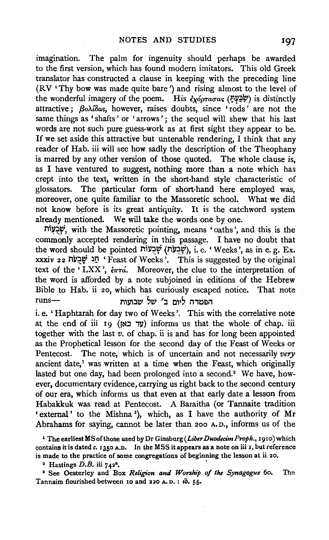imagination. The palm for ingenuity should perhaps be awarded to the first version, which has found modern imitators. This old Greek translator has constructed a clause in keeping with the preceding line (RV 'Thy bow was made quite bare ') and rising almost to the level of the wonderful imagery of the poem. His  $\epsilon_{Y\alpha\beta\gamma\alpha\sigma\alpha\sigma}$  ( $\psi$  $\psi$ ) is distinctly attractive;  $\beta$ o $\lambda i \delta a s$ , however, raises doubts, since 'rods' are not the same things as 'shafts' or 'arrows'; the sequel will shew that his last words are not such pure guess-work as at first sight they appear to be. If we set aside this attractive but untenable rendering, I think that any reader of Hab. iii will see how sadly the description of the Theophany is marred by any other version of those quoted. The whole clause is, as I have ventured to suggest, nothing more than a note which has crept into the text, written in the short-hand style characteristic of glossators. The particular form of short-hand here employed was, moreover, one quite familiar to the Massoretic school. What we did not know before is its great antiquity. It is the catchword system already mentioned. We will take the words one by one.

ni~~~. with the Massoretic pointing, means 'oaths', and this is the commonly accepted rendering in this passage. I have no doubt that the word should be pointed שָׁבְעוֹח), i. e. 'Weeks', as in e. g. Ex. xxxiv 22 nll~~ ~!:1 'Feast of Weeks'. This is suggested by the original text of the 'LXX',  $\epsilon_{\pi\tau\alpha}$ . Moreover, the clue to the interpretation of the word is afforded by a note subjoined in editions of the Hebrew Bible to Hab. ii 20, which has curiously escaped notice. That note הפטרה ליום ב' של שבוטות<br>...

i.e. 'Haphtarah for day two of Weeks'. This with the correlative note at the end of iii 19 (עד כאן) informs us that the whole of chap. iii together with the last *v.* of chap. ii is and has for long been appointed as the Prophetical lesson for the second day of the Feast of Weeks or Pentecost. The note, which is of uncertain and not necessarily *very*  ancient date,<sup>1</sup> was written at a time when the Feast, which originally lasted but one day, had been prolonged into a second.<sup>2</sup> We have, however, documentary evidence, carrying us right back to the second century of our era, which informs us that even at that early date a lesson from Habakkuk was read at Pentecost. A Baraitha (or Tannaite tradition ' external ' to the Mishna 3 ), which, as I have the authority of Mr Abrahams for saying, cannot be later than 200 A.D., informs us of the

1 The earliest MS of those used by Dr Ginsburg ( *Liber DuodecimProph.,* I 910) which contains it is dated *c.* 1350A,D. In the MSS it appears as a note on iii I, but reference is made to the practice of some congregations of beginning the lesson at ii 20.

<sup>2</sup> Hastings  $D.B.$  iii  $742^{\circ}$ .

s See Oesterley and Box *Religion and Worship of the Synagogue* 6o. The Tannaim flourished between 10 and 220 A.D.: *ib.* 55.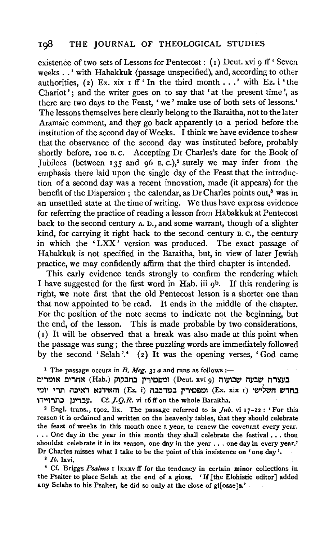## Ig8 THE JOURNAL OF THEOLOGICAL STUDIES

existence of two sets of Lessons for Pentecost :  $(i)$  Deut. xvi 9 ff ' Seven weeks .. 'with Habakkuk (passage unspecified), and, according to other authorities, (2) Ex. xix I ff ' In the third month  $\ldots$  ' with Ez. i 'the Chariot'; and the writer goes on to say that 'at the present time', as there are two days to the Feast, 'we' make use of both sets of lessons.<sup>1</sup> The lessons themselves here clearly belong to the Baraitha, not to the later Aramaic comment, and they go back apparently to a period before the institution of the second day of Weeks. I think we have evidence to shew that the observance of the second day was instituted before, probably shortly before, 100 B.C. Accepting Dr Charles's date for the Book of Jubilees (between 135 and 96 B.C.),<sup>2</sup> surely we may infer from the emphasis there laid upon the single day of the Feast that the introduction of a second day was a recent innovation, made (it appears) for the benefit of the Dispersion; the calendar, as Dr Charles points out,<sup>8</sup> was in an unsettled state at the time of writing. We thus have express evidence for referring the practice of reading a lesson from Habakkuk at Pentecost back to the second century A. D., and some warrant, though of a slighter kind, for carrying it right back to the second century B. c., the century in which the ' $LXX'$  version was produced. The exact passage of Habakkuk is not specified in the Baraitha, but, in view of later *]* ewish practice, we may confidently affirm that the third chapter is intended.

This early evidence tends strongly to confirm the rendering which I have suggested for the first word in Hab. iii  $q<sup>b</sup>$ . If this rendering is right, we note first that the old Pentecost lesson is a shorter one than that now appointed to be read. It ends in the middle of the chapter. For the position of the note seems to indicate not the beginning, but the end, of the lesson. This is made probable by two considerations. (I) It will be observed that a break was also made at this point when the passage was sung; the three puzzling words are immediately followed by the second 'Selah *'.4* (2) It was the opening verses, 'God came

<sup>1</sup> The passage occurs in *B. Meg.*  $31 a$  and runs as follows:-

1:11. בעצרת שבעה שבועות (Deut. xvi 9) ומפטירין בחבקוק (Hab.) אחרים אומרים בחדש השלישי (Ex. xix 1) ומפטירין במרכבה (Ez. i) והאידנא דאיכה תרי יומי עבדינן כתרוייהו. Cf. J.Q.R. vi 16 ff on the whole Baraitha.

2 Engl. trans., 1902, lix. The passage referred to is *jub.* vi I7-22: 'For this reason it is ordained and written on the heavenly tables, that they should celebrate the feast of weeks in this month once a year, to renew the covenant every year. ... One day in the year in this month they shall celebrate the festival ... thou shouldst celebrate it in its season, one day in the year .•. one day in every year.' Dr Charles misses what I take to be the point of this insistence on 'one day '.

s *lb.* lxvi.

• Cf. Briggs *Psalms* I lxxxv ff for the tendency in certain minor collections in the Psalter to place Selah at the end of a gloss. 'If [the Elohistic editor] added any Selahs to his Psalter, he did so only at the close of gl[osse]s.'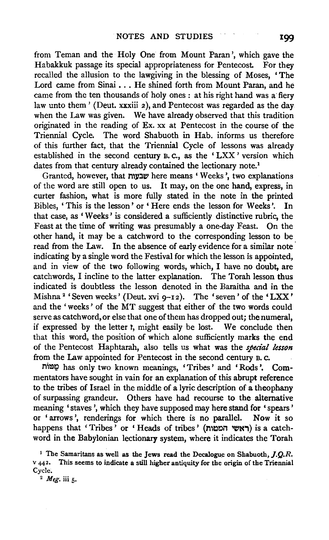from Teman and the Holy One from Mount Paran ', which gave the Habakkuk passage its special appropriateness for Pentecost. For they recalled the allusion to the lawgiving in the blessing of Moses, ' The Lord came from Sinai . . . He shined forth from Mount Paran, and he came from the ten thousands of holy ones : at his right hand was a fiery law unto them' (Deut. xxxiii 2), and Pentecost was regarded as the day when the Law was given. We have already observed that this tradition originated in the reading of Ex. xx at Pentecost in the course of the Triennial Cycle. The word Shabuoth in Hab. informs us therefore of this further fact, that the Triennial Cycle of lessons was already established in the second century B. c., as the ' LXX ' version which dates from that century already contained the lectionary note.<sup>1</sup>

Granted, however, that שבעות here means 'Weeks', two explanations of the word are still open to us. It may, on the one hand, express, in curter fashion, what is more fully stated in the note in the printed Bibles, 'This is the lesson' or' Here ends the lesson for Weeks'. In that case, as 'Weeks' is considered a sufficiently distinctive rubric, the Feast at the time of writing was presumably a one-day Feast. On the other hand, it may be a catchword to the corresponding lesson to be read from the Law. In the absence of early evidence for a similar note indicating by a single word the Festival for which the lesson is appointed, and in view of the two following words, which, I have no doubt, are catchwords, I incline to the latter explanation. The Torah lesson thus indicated is doubtless the lesson denoted in the Baraitha and in the Mishna<sup>2</sup> 'Seven weeks' (Deut. xvi 9-12). The 'seven' of the 'LXX' and the ' weeks' of the MT suggest that either of the two words could serve as catchword, or else that one of them has dropped out; the numeral, if expressed by the letter  $\lambda$ , might easily be lost. We conclude then if expressed by the letter  $\mathfrak r$ , might easily be lost. that this word, the position of which alone sufficiently marks the end of the Pentecost Haphtarah, also tells us what was the *special lesson*  from the Law appointed for Pentecost in the second century B. c.

n\wp has only two known meanings, 'Tribes' and 'Rods '. Commentators have sought in vain for an explanation of this abrupt reference to the tribes of Israel in the middle of a lyric description of a theophany of surpassing grandeur. Others have had recourse to the alternative meaning 'staves', which they have supposed may here stand for 'spears' or 'arrows', renderings for which there is no parallel. Now it so happens that 'Tribes' or ' Heads of tribes' (ראשי הממות) is a catchword in the Babylonian lectionary system, where it indicates the Torah

<sup>&</sup>lt;sup>1</sup> The Samaritans as well as the Jews read the Decalogue on Shabuoth, *J.Q.R.*  $v$  442. This seems to indicate a still higher antiquity for the origin of the Triennial Cycle.<br><sup>2</sup> *Meg*. iii 5.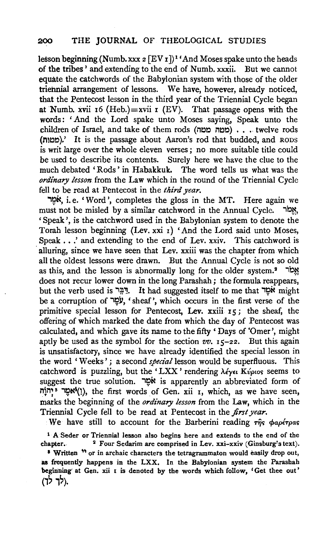lesson beginning (Numb. xxx  $2 [EV I]^1$  'And Moses spake unto the heads of the tribes' and extending to the end of Numb. xxxii. But we cannot equate the catchwords of the Babylonian system with those of the older triehnial arrangement of lessons. We have, however, already noticed, that the Pentecost lesson in the third year of the Triennial Cycle began at Numb. xvii 16 (Heb.)=xvii  $\mathbf{r}$  (EV). That passage opens with the words: 'And the Lord spake unto Moses saying, Speak unto the children of Israel, and take of them rods (n~o n~o) ... twelve rods (מטות).' It is the passage about Aaron's rod that budded, and RODS is writ large over the whole eleven verses ; no more suitable title could be used to describe its contents. Surely here we have the clue to the much debated 'Rods ' in Habakkuk. The word tells us what was the *ordinary lesson* from the Law which in the round of the Triennial Cycle fell to be read at Pentecost in the *third year.* 

,~N, i.e. 'Word', completes the gloss in the MT. Here again we must not be misled by a similar catchword in the Annual Cycle. אֲמֹר ' Speak', is the catchword used in the Babylonian system to denote the Torah lesson beginning (Lev. xxi I) 'And the Lord said unto Moses, Speak ...' and extending to the end of Lev. xxiv. This catchword is alluring, since we have seen that Lev. xxiii was the chapter from which all the oldest lessons were drawn. But the Annual Cycle is not so old as this, and the lesson is abnormally long for the older system.<sup>2</sup> אֲמֹר does not recur lower down in the long Parashah ; the formula reappears, but the verb used is  $\overline{P}$ . It had suggested itself to me that  $\overline{P}$  might be a corruption of שָׁמָר, 'sheaf', which occurs in the first verse of the primitive special lesson for Pentecost, Lev. xxiii 15; the sheaf, the offering of which marked the date from which the day of Pentecost was calculated, and which gave its name to the fifty' Days of 'Omer', might aptly be used as the symbol for the section  $vv$ .  $15-22$ . But this again is unsatisfactory, since we have already identified the special lesson in the word 'Weeks'; a second *special* lesson would be superfluous. This catchword is puzzling, but the 'LXX' rendering  $\lambda \epsilon \gamma \epsilon \epsilon$  K $\psi \rho \omega \epsilon$  seems to suggest the true solution. אָמֵר is apparently an abbreviated form of יְהוֹה (1), the first words of Gen. xii r, which, as we have seen, marks the beginning of the *ordinary lesson* from the Law, which in the Triennial Cycle fell to be read at Pentecost in the *first year.* 

We have still to account for the Barberini reading  $r\hat{\eta}s$   $\phi$ apérpas

1 A Seder or Triennial lesson also begins here and extends to the end of the chapter. <sup>2</sup> Four Sedarim are comprised in Lev. xxi-xxiv (Ginsburg's text).

<sup>&</sup>lt;sup>3</sup> Written <sup>19</sup> or in archaic characters the tetragrammaton would easily drop out, as frequently happens in the LXX. In the Babylonian system the Parashah beginning at Gen. xii I is denoted by the words which follow, 'Get thee out' (לך  $\langle \uparrow \rangle$ ,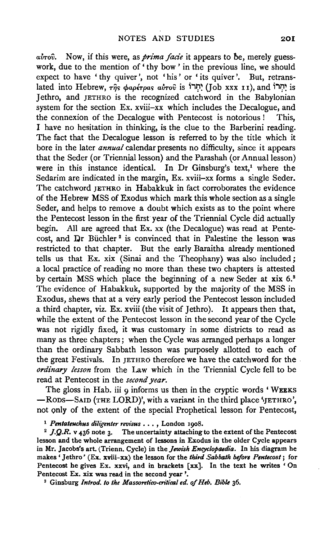*afrrov.* Now, if this were, as *prima facie* it appears to be, merely guesswork, due to the mention of ' thy bow ' in the previous line, we should expect to have 'thy quiver', not 'his' or 'its quiver'. But, retranslated into Hebrew,  $\tau$  $\hat{\eta}$ s  $\phi$ apérpas avrov is יִתְרוֹ (Job xxx II), and ; Jethro, and JETHRO is the recognized catchword in the Babylonian system for the section Ex. xviii-xx which includes the Decalogue, and the connexion of the Decalogue with Pentecost is notorious! This, the connexion of the Decalogue with Pentecost is notorious ! I have no hesitation in thinking, is the clue to the Barberini reading. The fact that the Decalogue lesson is referred to by the title which it bore in the later *annual* calendar presents no difficulty, since it appears that the Seder (or Triennial lesson) and the Parashah (or Annual lesson) were in this instance identical. In Dr Ginsburg's text,<sup>1</sup> where the Sedarim are indicated in the margin, Ex. xviii-xx forms a single Seder. The catchword JETHRO in Habakkuk in fact corroborates the evidence of the Hebrew MSS of Exodus which mark this whole section as a single Seder, and helps to remove a doubt which exists as to the point where the Pentecost lesson in the first year of the Triennial Cycle did actually begin. All are agreed that Ex. xx (the Decalogue) was read at Pentecost, and Dr Büchler<sup>2</sup> is convinced that in Palestine the lesson was restricted to that chapter. But the early Baraitha already mentioned tells us that Ex. xix (Sinai and the Theophany) was also included; a local practice of reading no more than these two chapters is attested by certain MSS which place the beginning of a new Seder at xix 6.<sup>8</sup> The evidence of Habakkuk, supported by the majority of the MSS in Exodus, shews that at a very early period the Pentecost lesson included a third chapter, viz. Ex. xviii (the visit of Jethro). It appears then that, while the extent of the Pentecost lesson in the second year of the Cycle was not rigidly fixed, it was customary in some districts to read as many as three chapters ; when the Cycle was arranged perhaps a longer than the ordinary Sabbath lesson was purposely allotted to each of the great Festivals. In JETHRO therefore we have the catchword for the . *ordinary lesson* from the Law which in the Triennial Cycle fell to be read at Pentecost in the *second year.* 

The gloss in Hab. iii 9 informs us then in the cryptic words 'WEEKS -RODS-SAID (THE LORD)', with a variant in the third place 'JETHRO', not only of the extent of the special Prophetical lesson for Pentecost,

<sup>1</sup> Pentateuchus diligenter revisus . . . , London 1908.<br><sup>2</sup> J.Q.R. v 436 note 3. The uncertainty attaching to the extent of the Pentecost lesson and the whole arrangement of lessons in Exodus in the older Cycle appears in Mr. Jacobs's art. (Trienn. Cycle) in the *Jewish Encyclopaedia*. In his diagram he makes' Jethro' (Ex. xviii-xx) the lesson for the *third Sabbath before Pentecost;* for Pentecost he gives Ex. xxvi, and in brackets  $[xx]$ . In the text he writes 'On Pentecost Ex. xix was read in the second year '.

<sup>3</sup> Ginsburg Introd. to the Massoretico-critical ed. of Heb. Bible 36.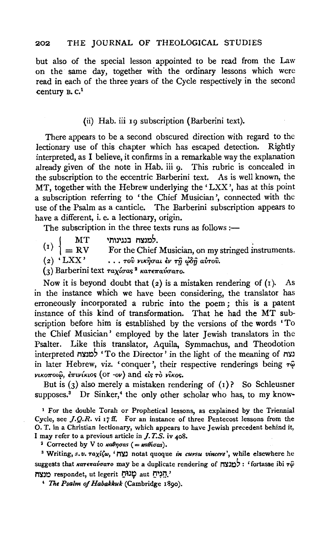#### 202 THE JOURNAL OF THEOLOGICAL STUDIES

but also of the special lesson appointed to be read from the Law on the same day, together with the ordinary lessons which were read in each of the three years of the Cycle respectively in the second century B. C.<sup>1</sup>

### (ii) Hab. iii 19 subscription (Barberini text).

There appears to be a second obscured direction with regard to the lectionary use of this chapter which has escaped detection. Rightly interpreted, as I believe, it confirms in a remarkable way the explanation already given of the note in Hab. iii 9. This rubric is concealed in the subscription to the eccentric Barberini text. As is well known, the MT, together with the Hebrew underlying the 'LXX', has at this point a subscription referring to 'the Chief Musician', connected with the use of the Psalm as a canticle. The Barberini subscription appears to have a different, i.e. a lectionary, origin.

The subscription in the three texts runs as follows:-

|  | $\mathbf{M} \mathbf{T}$                | למנצח בנגינותי.                                      |
|--|----------------------------------------|------------------------------------------------------|
|  | $\begin{pmatrix} 1 \end{pmatrix}$ = RV | For the Chief Musician, on my stringed instruments.  |
|  |                                        | $(2)$ 'LXX'  του νικήσαι έν τη ώδη αύτου.            |
|  |                                        | (3) Barberini text ταχίσας <sup>2</sup> κατεπαύσατο. |

Now it is beyond doubt that  $(z)$  is a mistaken rendering of  $(1)$ . As in the instance which we have been considering, the translator has erroneously incorporated a rubric into the poem ; this is a patent instance of this kind of transformation. That he had the MT subscription before him is established by the versions of the words 'To the Chief Musician' employed by the later Jewish translators in the Psalter. Like this translator, Aquila, Symmachus, and Theodotion interpreted  $'$  'To the Director' in the light of the meaning of גצח in later Hebrew, viz. 'conquer', their respective renderings being  $\tau\hat{\varphi}$  $ν$ ικοποιώ, έπινίκιος (or -oν) and είς τὸ νίκος.

But is  $(3)$  also merely a mistaken rendering of  $(1)$ ? So Schleusner supposes.<sup>3</sup> Dr Sinker,<sup>4</sup> the only other scholar who has, to my know-

1 For the double Torah or Prophetical lessons, as explained by the Triennial Cycle, see  $J.Q.R.$  vi 17 ff. For an instance of three Pentecost lessons from the 0. T. in a Christian lectionary, which appears to have Jewish precedent behind it, I may refer to a previous article in J. *T.S.* iv 408.

<sup>2</sup> Corrected by V to  $\kappa a\theta\eta\sigma as$  ( =  $\kappa a\theta i\sigma as$ ).

8 Writing, s.v.  $\tau a \chi i \zeta \omega$ , 'מצח' notat quoque *in cursu vincere*', while elsewhere he  $s$ suggests that *ka*-remavoa-ro may be a duplicate rendering of  $\beta$  : 'fortasse ibi  $\tau\hat{\omega}$ תַנִיחַ aut שֲנוּחַ respondet, ut legerit מַנצח.'

' *The Psalm of Habakkuk* (Cambridge 1890).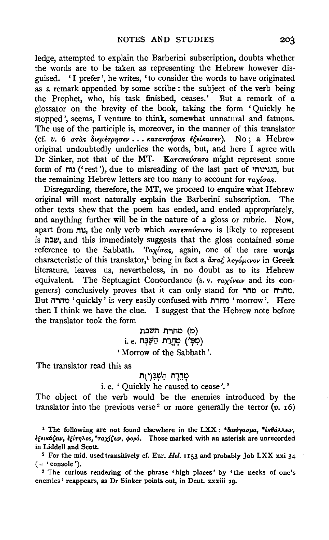ledge, attempted to explain the Barberini subscription, doubts whether the words are to be taken as representing the Hebrew however disguised. 1 I prefer', he writes, 'to consider the words to have originated as a remark appended by some scribe : the subject of the verb being the Prophet, who, his task finished, ceases.' But a remark of a glossator on the brevity of the book, taking the form ' Quickly he stopped', seems, I venture to think, somewhat unnatural and fatuous. The use of the participle is, moreover, in the manner of this translator (cf. v. 6 στας διεμέτρησεν **· · ·** *κατανοήσας εξείκασεν*). No; a Hebrew original undoubtedly underlies the words, but, and here I agree with Dr Sinker, not that of the MT. *KaTETRavoaTo* might represent some form of "נוח ('rest'), due to misreading of the last part of בנגינות the remaining Hebrew letters are too many to account for  $\tau_{\alpha\gamma}\omega_{\alpha\beta}$ .

Disregarding, therefore, the MT, we proceed to enquire what Hebrew original will most naturally explain the Barberini subscription. The other texts shew that the poem has ended, and ended appropriately, and anything further will be in the nature of a gloss or rubric. Now, apart from אָלָה, the only verb which *kateravoato* is likely to represent is n~~. and this immediately suggests that the gloss contained some reference to the Sabbath. *Tax{uas,* again, one of the rare wor4s characteristic of this translator,<sup>1</sup> being in fact a  $\tilde{a} \pi \alpha \xi \lambda \epsilon \gamma \delta \mu \epsilon \nu \sigma \nu$  in Greek literature, leaves us, nevertheless, in no doubt as to its Hebrew equivalent. The Septuagint Concordance (s. v.  $\tau_{\alpha}$ *xvv*ew and its congeners) conclusively proves that it can only stand for כזהרה or כזהרה. But מהרה 'quickly' is very easily confused with n. מהרה 'morrow'. Here then I think we have the clue. I suggest that the Hebrew note before the translator took the form

> מ) מחרת השבת)<br>i.e. יְמֻרַּח הַשַּׁבָּת) 'Morrow of the Sabbath'.

The translator read this as

 $n$ מְהֵרָה הָשָׁבָּ(י)

i. e. ' Quickly he caused to cease'.<sup>2</sup>

The object of the verb would be the enemies introduced by the translator into the previous verse<sup>3</sup> or more generally the terror  $(v, 16)$ 

<sup>1</sup> The following are not found elsewhere in the LXX : \*διαύγασμα, \*εκθάλλειν, εξεικάζεω, εξίτηλος, \*ταχίζειν, φορά. Those marked with an asterisk are unrecorded in Liddell and Scott.<br><sup>2</sup> For the mid. used transitively cf. Eur. *Hel*. 1153 and probably Job LXX xxi 34

(= 'console').<br><sup>3</sup> The curious rendering of the phrase 'high places' by 'the necks of one's

enemies' reappears, as Dr Sinker points out, in Deut. xxxiii 29.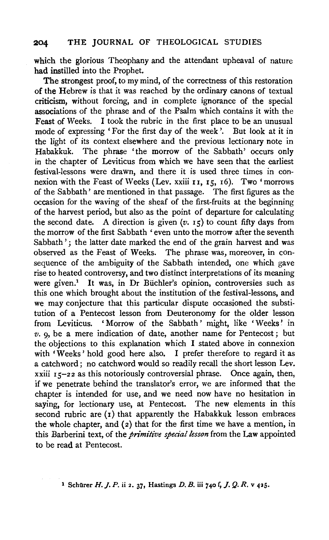which the glorious Theophany and the attendant upheaval of nature had instilled into the Prophet.

The strongest proof, to my mind, of the correctness of this restoration of the Hebrew is that it was reached by the ordinary canons of textual criticism, without forcing, and in complete ignorance of the special associations of the phrase and of the Psalm which contains it with the Feast of Weeks. I took the rubric in the first place to be an unusual mode of expressing 'For the first day of the week'. But look at it in the light of its context elsewhere and the previous lectionary note in Habakkuk. The phrase 'the morrow of the Sabbath' occurs only in the chapter of Leviticus from which we have seen that the earliest festival-lessons were drawn, and there it is used three times in connexion with the Feast of Weeks (Lev. xxiii  $I_1$ ,  $I_5$ ,  $I_6$ ). Two 'morrows of the Sabbath' are mentioned in that passage. The first figures as the occasion for the waving of the sheaf of the first-fruits at the beginning of the harvest period, but also as the point of departure for calculating the second date. A direction is given  $(v, 15)$  to count fifty days from the morrow of the first Sabbath ' even unto the morrow after the seventh Sabbath'; the latter date marked the end of the grain harvest and was observed as the Feast of Weeks. The phrase was, moreover, in consequence of the ambiguity of the Sabbath intended, one which gave rise to heated controversy, and two distinct interpretations of its meaning were given.<sup>1</sup> It was, in Dr Büchler's opinion, controversies such as this one which brought about the institution of the festival-lessons, and we may conjecture that this particular dispute occasioned the substitution of a Pentecost lesson from Deuteronomy for the older lesson from Leviticus. 'Morrow of the Sabbath' might, like 'Weeks' in *v.* g, be a mere indication of date, another name for Pentecost ; but the objections to this explanation which I stated above in connexion with 'Weeks' hold good here also. I prefer therefore to regard it as a catchword; no catchword would so readily recall the short lesson Lev. xxiii 15-22 as this notoriously controversial phrase. Once again, then, if we penetrate behind the translator's error, we are informed that the chapter is intended for use, and we need now have no hesitation in saying, for lectionary use, at Pentecost. The new elements in this second rubric are  $(i)$  that apparently the Habakkuk lesson embraces the whole chapter, and (2} that for the first time we have a mention, in this Barberini text, of the *primitive special lesson* from the Law appointed to be read at Pentecost.

1 Schilrer H. j. P. ii 2. 37, Hastings D. B. iii 740 f, *].* Q. R. v 425.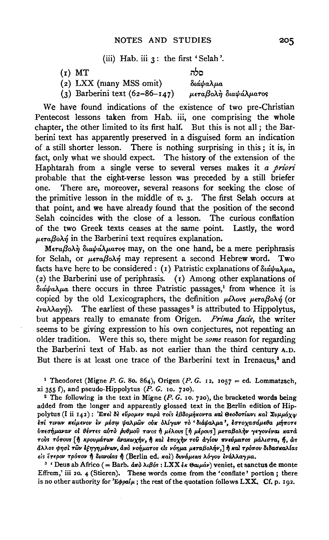(iii) Hab. iii 3: the first 'Selah '.

 $\cdot$   $\cdot$   $\cdot$   $\cdot$ 

םלה

*8uitf!a.Ap.a* 

 $\mu$ εταβολή διαψάλματος

- (r) MT
- (2) LXX (many MSS omit)
- (3) Barberini text (62-86-147)

We have found indications of the existence of two pre-Christian Pentecost lessons taken from Hab. iii, one comprising the whole chapter, the other limited to its first half. But this is not all ; the Barberini text has apparently preserved in a disguised form an indication of a still shorter lesson. There is nothing surprising in this ; it is, in fact, only what we should expect. The history of the extension of the Haphtarah from a single verse to several verses makes it *a priori*  probable that the eight-verse lesson was preceded by a still briefer There are, moreover, several reasons for seeking the close of the primitive lesson in the middle of  $v$ .  $3$ . The first Selah occurs at that point, and we have already found that the position of the second Selah coincides with the close of a lesson. The curious conflation of the two Greek texts ceases at the same point. Lastly, the word  $\mu$ <sub>era</sub> $\beta$ o $\lambda$ <sub>2</sub> in the Barberini text requires explanation.

Mεταβολή διαψάλματος may, on the one hand, be a mere periphrasis for Selah, or  $\mu \epsilon \tau a \beta o \lambda \eta$  may represent a second Hebrew word. Two facts have here to be considered: (*τ*) Patristic explanations of διάψαλμα, (2) the Barberini use of periphrasis. (r) Among other explanations of  $διαψαλμα$  there occurs in three Patristic passages,<sup>1</sup> from whence it is copied by the old Lexicographers, the definition  $\mu \epsilon \lambda_{\text{ovs}}$   $\mu \epsilon \tau_{\alpha} \beta_{\text{ovh}}$  (or  $\partial \alpha \lambda \partial \alpha$ <sub>γή</sub>). The earliest of these passages<sup>2</sup> is attributed to Hippolytus, but appears really to emanate from Origen. *Prima facie*, the writer seems to be giving expression to his own conjectures, not repeating an older tradition. Were this so, there might be *some* reason for regarding the Barberini text of Hab. as not earlier than the third century A.D. But there is at least one trace of the Barberini text in Irenaeus,<sup>3</sup> and

<sup>1</sup> Theodoret (Migne P. G. 80. 864), Origen (P. G. 12. 1057 = ed. Lommatzsch, xi 355 f), and pseudo-Hippolytus (P. G. 10. 720).

 $2$  The following is the text in Migne (P. G. 10. 720), the bracketed words being added from the longer and apparently glossed text in the Berlin edition of Hippolytus (I ii 142): 'Επεί δε εύρομεν παρά τοιs εβδομήκοντα καί Θεοδοτίωνι καί Συμμάχω ~,.; *TtvCtJv KEip<vov lv* p~urp *!f;a.JI.pwv ovK l.'A.l-yCtJv Tll* • *'6<1»f;a'A.pa* ', *luToxaudp<9a* ~1I'OTE  $\hat{v}$ πεσήμαναν οl θέντες αὐτὸ ῥυθμοῦ τινος ἣ μέλους [ <del>ἦ</del> μέρους] μεταβολὴν γεγονέναι κατὰ  $\tau$ ovs τόπουs [ή *κρουμάτων ανακωχήν*, ή και εποχήν του αγίου πνεύματοs μάλιστα, ή, ώs *ἄλλοs φησὶ τῶν εξηγημένων, ἀπὸ νοήματοs είs νόημα μεταβολήν,] ή και τρόπου διδασκαλίαs Els ET<pov Tp011'011* 1j *IJ•avolas* 1j (Berlin ed. Kal) *livvap.ECIIS 'A.o-yov ovci'A.'A.a-yp.a..* 

<sup>3</sup> • Deus ab Africo (= Barb.  $d\pi \partial \lambda_i \beta_i \delta s$ : LXX  $\partial \kappa \partial \alpha_i \mu_i \delta \nu$ ) veniet, et sanctus de monte Effrem,' iii 20. 4 (Stieren). These words come from the 'conflate' portion; there is no other authority for 'E $\phi \rho a/\mu$ ; the rest of the quotation follows LXX. Cf. p. 192.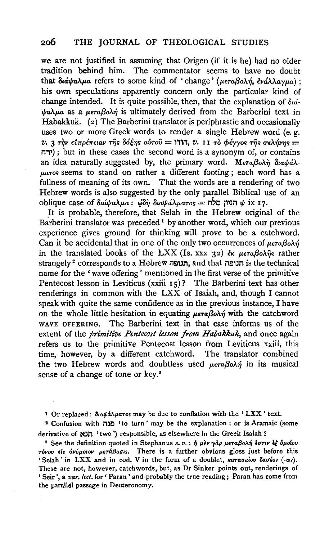we are not justified in assuming that Origen (if it is he) had no older tradition behind him. The commentator seems to have no doubt that διάψαλμα refers to some kind of 'change' (μεταβολή, ενάλλαγμα) ; his own speculations apparently concern only the particular kind of change intended. It is quite possible, then, that the explanation of  $\delta u$ .  $\psi$ a $\lambda$ μα as a μεταβολή is ultimately derived from the Barberini text in Habakkuk. (2) The Barberini translator is periphrastic and occasionally uses two or more Greek words to render a single Hebrew word (e.g. *v.* 3 *την εύπρέπειαν της δόξης αύτου = 1117, v. 11 το φέγγος της σελήνης =* n,1) ; but in these cases the second word is a synonym of, or contains an idea naturally suggested by, the primary word. Me $\tau_a\beta_o\lambda\eta$   $\delta_a\psi_a\lambda$ *p.aToc;* seems to stand on rather a different footing ; each word has a fullness of meaning of its own. That the words are a rendering of two Hebrew words is also suggested by the only parallel Biblical use of an oblique case of διάψαλμα: *ώδη διαψάλματος* = *vidin v* ix 17.

. It is probable, therefore, that Selah in the Hebrew original of the Barberini translator was preceded<sup>1</sup> by another word, which our previous experience gives ground for thinking will prove to be a catchword. Can it be accidental that in one of the only two occurrences of  $\mu \epsilon \tau a \beta o \lambda \gamma$ . in the translated books of the LXX (Is. xxx 32) εκ μεταβολής rather strangely<sup>2</sup> corresponds to a Hebrew תנופה, and that תוופה, is the technical name for the 'wave offering' mentioned in the first verse of the primitive Pentecost lesson in Leviticus (xxiii  $15$ )? The Barberini text has other renderings in common with the LXX of Isaiah, and, though I cannot speak with quite the same confidence as in the previous instance, I have on the whole little hesitation in equating  $\mu$ era $\beta$ o $\lambda \eta$  with the catchword wAVE OFFERING. The Barberini text in that case informs us of the extent of the *primitive Pentecost lesson from Habakkuk*, and once again refers us to the primitive Pentecost lesson from Leviticus xxiii, this time, however, by a different catchword. The translator combined the two Hebrew words and doubtless used  $\mu \epsilon \tau a \beta o \lambda \dot{\eta}$  in its musical sense of a change of tone or key.<sup>8</sup>

<sup>1</sup> Or replaced:  $\delta_0 a \psi d\lambda \mu a \tau$ os may be due to conflation with the ' LXX ' text.

2 Confusion with il)£) 'to turn ' may be the explanation : or is Aramaic (some derivative of מגא 'two') responsible, as elsewhere in the Greek Isaiah?

<sup>3</sup> See the definition quoted in Stephanus s. v. :  $\eta$   $\mu\lambda\nu\gamma d\rho$   $\mu\epsilon\tau a\beta o\lambda\eta$   $\delta\sigma\tau\iota\nu$  *if*  $\delta\mu o \acute{i} o \nu$  $\tau$ óvov eis dvó $\mu$ otov  $\mu \epsilon \tau$ á $\beta$ aots. There is a further obvious gloss just before this 'Selah' in LXX and in cod. V in the form of a doublet,  $\kappa a \tau a \sigma \kappa i \sigma v$  3a $\sigma \epsilon$ os (- $\omega s$ ). These are not, however, catchwords, but, as Dr Sinker points out, renderings of ' Seir ', a *var. lect.* for' Paran' and probably the true reading; Paran has come from the parallel passage in Deuteronomy.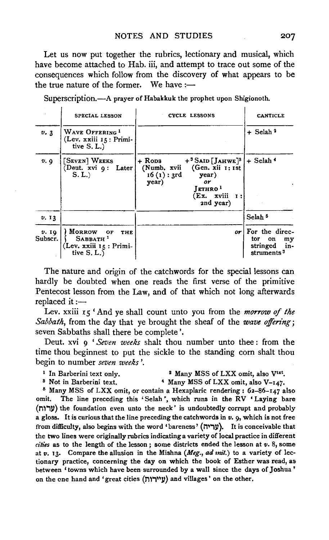Let us now put together the rubrics, lectionary and musical, which have become attached to Hab. iii, and attempt to trace out some of the consequences which follow from the discovery of what appears to be the true nature of the former. We have  $:$   $-$ 

Superscription.-A prayer of Habakkuk the prophet upon Shigionoth.

|                    | <b>SPECIAL LESSON</b>                                                         |                                                | <b>CYCLE LESSONS</b>                                                                                                                                      | <b>CANTICLE</b>                                                                 |
|--------------------|-------------------------------------------------------------------------------|------------------------------------------------|-----------------------------------------------------------------------------------------------------------------------------------------------------------|---------------------------------------------------------------------------------|
| v.3                | WAVE OFFERING <sup>1</sup><br>(Lev. xxiii 15 : Primi-<br>tive $S.L.$ )        |                                                |                                                                                                                                                           | $+$ Selah <sup>3</sup>                                                          |
| v.9                | SEVEN WEEKS<br>(Deut. xvi 9: Later)<br>S.L.                                   | + Rops<br>(Numb. xvii<br>$16(1):$ 3rd<br>year) | $+$ <sup>3</sup> SAID [JAHWE] <sup>3</sup>   + Selah <sup>4</sup><br>(Gen. xii 1: 1st<br>year)<br>or<br>JETHRO <sup>1</sup><br>(Ex. xviii r:<br>2nd year) |                                                                                 |
| $v.$ 13            |                                                                               |                                                |                                                                                                                                                           | Selah <sup>5</sup>                                                              |
| $v.$ IQ<br>Subscr. | MORROW OF<br>THE<br>$S$ ABBATH $^1$<br>(Lev. xxiii 15 : Primi-<br>tive $S.L.$ |                                                |                                                                                                                                                           | or $ $ For the direc-<br>tor on<br>my<br>stringed in-<br>struments <sup>3</sup> |

The nature and origin of the catchwords for the special lessons can hardly be doubted when one reads the first verse of the primitive Pentecost lesson from the Law, and of that which not long afterwards replaced it  $:=$ 

Lev. xxiii 15 'And ye shall count unto you from the *morrow of the Sabbath,* from the day that ye brought the sheaf of the *wave offiring;*  seven Sabbaths shall there be complete'.

Deut. xvi 9 *'Seven weeks* shalt thou number unto thee : from the time thou beginnest to put the sickle to the standing corn shalt thou begin to number *seven weeks'.* 

<sup>1</sup> In Barberini text only. <sup>2</sup> Many MSS of LXX omit, also  $V^{txt}$ .

<sup>8</sup> Not in Barberini text. <sup>4</sup> Many MSS of LXX omit, also V-147.<br><sup>6</sup> Many MSS of LXX omit, or contain a Hexaplaric rendering : 62-86-147 also omit. The line preceding this 'Selah ', which runs in the RV • Laying bare (ערות) the foundation even unto the neck' is undoubtedly corrupt and probably a gloss. It is curious that the line preceding the catchwords in *v.* 9, which is not free from difficulty, also begins with the word 'bareness' (עריה). It is conceivable that the two lines were originally rubrics indicating a variety of local practice in different *cities* as to the length of the lesson ; some districts ended the lesson at *v.* 8, some at *v.* 13. Compare the allusion in the Mishna *(Meg., admit.)* to a variety of lectionary practice, concerning the day on which the book of Esther was read, as between 'towns which have been surrounded by a wall since the days of Joshua ' on the one hand and 'great cities (עיירות) and villages' on the other.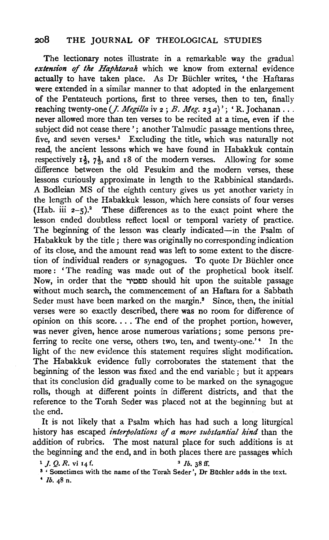#### 208 THE JOURNAL OF THEOLOGICAL STUDIES

The lectionary notes illustrate in a remarkable way the gradual *extension* of *the Haphtarah* which we know from external evidence actually to have taken place. As Dr Biichler writes, ' the Haftaras were extended in a similar manner to that adopted in the enlargement of the Pentateuch portions, first to three verses, then to ten, finally reaching twenty-one  $(I.$  Megilla iv  $2$ ;  $B.$  Meg.  $23a$ <sup>'</sup>;  $\lq$ 'R. Jochanan ... never allowed more than ten verses to be recited at a time, even if the subject did not cease there'; another Talmudic passage mentions three, five, and seven verses.<sup>1</sup> Excluding the title, which was naturally not read, the ancient lessons which we have found in Habakkuk contain respectively  $I_2^1$ ,  $7_2^1$ , and 18 of the modern verses. Allowing for some difference between the old Pesukim and the modern verses, these lessons curiously approximate in length to the Rabbinical standards. A Bodleian MS of the eighth century gives us yet another variety in the length of the Habakkuk lesson, which here consists of four verses (Hab. iii  $2-5$ ).<sup>2</sup> These differences as to the exact point where the lesson ended doubtless reflect local or temporal variety of practice. The beginning of the lesson was clearly indicated-in the Psalm of Habakkuk by the title ; there was originally no corresponding indication of its close, and the amount read was left to some extent to the discretion of individual readers or synagogues. To quote Dr Biichler once more : 'The reading was made out of the prophetical book itself. Now, in order that the creative should hit upon the suitable passage without much search, the commencement of an Haftara for a Sabbath Seder must have been marked on the margin.<sup>3</sup> Since, then, the initial verses were so exactly described, there was no room for difference of opinion on this score.... The end of the prophet portion, however, was never given, hence arose numerous variations; some persons preferring to recite one verse, others two, ten, and twenty-one.'<sup>4</sup> In the light of the new evidence this statement requires slight modification. The Habakkuk evidence fully corroborates the statement that the beginning of the lesson was fixed and the end variable ; but it appears that its conclusion did gradually come to be marked on the synagogue rolls, though at different points in different districts, and that the reference to the Torah Seder was placed not at the beginning but at the end.

It is not likely that a Psalm which has had such a long liturgical history has escaped *interpolations* of *a more substantial kind* than the addition of rubrics. The most natural place for such additions is at the beginning and the end, and in both places there are passages which

<sup>&</sup>lt;sup>1</sup> *J. Q. R.* vi 14 f. <sup>2</sup> *Ib.* 38 ff.

<sup>&</sup>lt;sup>3</sup> ' Sometimes with the name of the Torah Seder', Dr Buchler adds in the text.

<sup>&#</sup>x27; *lb.* 48 n.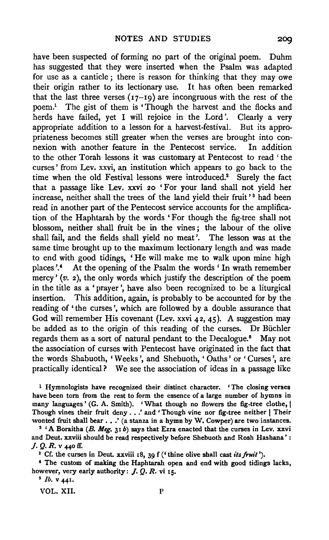have been suspected of forming no part of the original poem. Duhm has suggested that they were inserted when the Psalm was adapted for use as a canticle ; there is reason for thinking that they may owe their origin rather to its lectionary use. It has often been remarked that the last three verses  $(17-19)$  are incongruous with the rest of the poem.1 The gist of them is 'Though the harvest and the flocks and herds have failed, yet I will rejoice in the Lord'. Clearly a very appropriate addition to a lesson for a harvest-festival. But its appropriateness becomes still greater when the verses are brought into con-<br>nexion with another feature in the Pentecost service. In addition nexion with another feature in the Pentecost service. to the other Torah lessons it was customary at Pentecost to read ' the curses' from Lev. xxvi, an institution which appears to go back to the time when the old Festival lessons were introduced.<sup>2</sup> Surely the fact that a passage like Lev. xxvi 20 'For your land shall not yield her increase, neither shall the trees of the land yield their fruit'<sup>3</sup> had been read in another part of the Pentecost service accounts for the amplification of the Haphtarah by the words 'For though the fig-tree shall not blossom, neither shall fruit be in the vines ; the labour of the olive shall fail, and the fields shall yield no meat'. The lesson was at the same time brought up to the maximum lectionary length and was made to end with good tidings, ' He will make me to walk upon mine high places'.' At the opening of the Psalm the words ' In wrath remember mercy'  $(v, z)$ , the only words which justify the description of the poem in the title as a 'prayer ', have also been recognized to be a liturgical insertion. This addition, again, is probably to be accounted for by the reading of 'the curses', which are followed by a double assurance that God will remember His covenant (Lev. xxvi 42, 45). A suggestion may be added as to the origin of this reading of the curses. Dr Biichler regards them as a sort of natural pendant to the Decalogue.5 May not the association of curses with Pentecost have originated in the fact that the words Shabuoth, 'Weeks', and Shebuoth, 'Oaths' or 'Curses', are practically identical? We see the association of ideas in a passage like

<sup>1</sup> Hymnologists have recognized their distinct character. 'The closing verses have been tom from the rest to form the essence of a large number of hymns in many languages' (G. A. Smith). 'What though no flowers the fig-tree clothe, | Though vines their fruit deny . . .' and 'Though vine nor fig-tree neither | Their wonted fruit shall bear  $\ldots$  ' (a stanza in a hymn by W. Cowper) are two instances.<br><sup>2</sup> 'A Boraitha (B. Meg. 31 b) says that Ezra enacted that the curses in Lev. xxvi

<sup>3</sup> Cf. the curses in Deut. xxviii 18, 39 f ('thine olive shall cast *its fruit'*).

' The custom of making the Haphtarah open and end with good tidings lacks, however, very early authority: *J. Q. R.* vi 15.<br><sup>5</sup> *Ib.* **v** 44<sup>1</sup>.

VOL. XII. P

and Deut. xxviii should be read respectively before Shebuoth and Rosh Hashana': ]. Q. *R.* V 440 ff.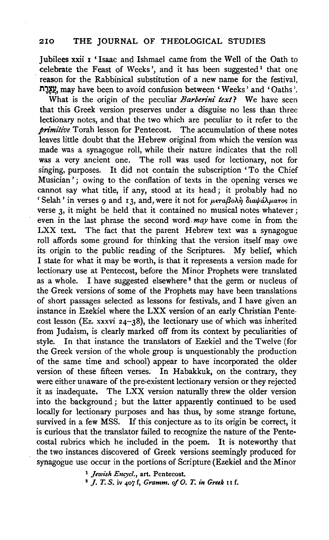Jubilees xxii **1** 'Isaac and Ishmael came from the Well of the Oath to celebrate the Feast of Weeks', and it has been suggested<sup>1</sup> that one reason for the Rabbinical substitution of a new name for the festival, Mj~, may have been to avoid confusion between 'Weeks' and 'Oaths'.

What is the origin of the peculiar *Barberini text?* We have seen that this Greek version preserves under a disguise no less than three lectionary notes, and that the two which are peculiar to it refer to the *primitive* Torah lesson for Pentecost. The accumulation of these notes leaves little doubt that the Hebrew original from which the version was made was a synagogue roll, while their nature indicates that the roll was a very ancient one. The roll was used for lectionary, not for singing, purposes. It did not contain the subscription 'To the Chief Musician'; owing to the conflation of texts in the opening verses we cannot say what title, if any, stood at its head; it probably had no 'Selah' in verses 9 and 13, and, were it not for  $\mu$ *eraβoλή διαψάλματος* in verse 3, it might be held that it contained no musical notes whatever; even in the last phrase the second word. *may* have come in from the LXX text. The fact that the parent Hebrew text was a synagogue roll affords some ground for thinking that the version itself may owe its origin to the public reading of the Scriptures. My belief, which I state for what it may be worth, is that it represents a version made for lectionary use at Pentecost, before the Minor Prophets were translated as a whole. I have suggested elsewhere<sup>2</sup> that the germ or nucleus of the Greek versions of some of the Prophets may have been translations of short passages selected as lessons for festivals, and I have given an instance in Ezekiel where the LXX version of an early Christian Pentecost lesson (Ez. xxxvi  $24-38$ ), the lectionary use of which was inherited from Judaism, is clearly marked off from its context by peculiarities of style. In that instance the translators of Ezekiel and the Twelve (for In that instance the translators of Ezekiel and the Twelve (for the Greek version of the whole group is unquestionably the production of the same time and school) appear to have incorporated the older version of these fifteen verses. In Habakkuk, on the contrary, they were either unaware of the pre-existent lectionary version or they rejected it as inadequate. The LXX version naturally threw the older version into the background ; but the latter apparently continued to be used locally for lectionary purposes and has thus, by some strange fortune, survived in a few MSS. If this conjecture as to its origin be correct, it is curious that the translator failed to recognize the nature of the Pentecostal rubrics which he included in the poem. It is noteworthy. that the two instances discovered of Greek versions seemingly produced for synagogue use occur in the portions of Scripture (Ezekiel and the Minor

<sup>1</sup>*Jewish Encycl.,* art. Pentecost.

• J. *T. S.* iv 407 f, *Gramm. of 0. T. in Greek* I I f.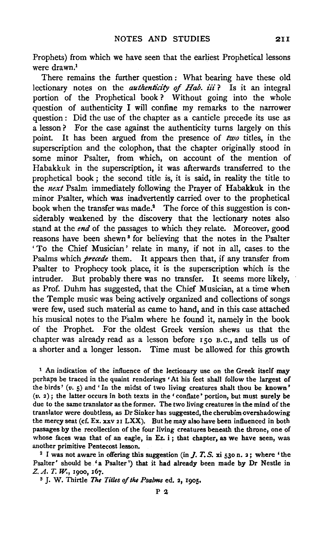Prophets) from which we have seen that the earliest Prophetical lessons were drawn.<sup>1</sup>

There remains the further question: What bearing have these old lectionary notes on the *authenticity of Hab. iii* ? Is it an integral portion of the Prophetical book ? Without going into the whole question of authenticity I will confine my remarks to the narrower question : Did the use of the chapter as a canticle precede its use as a lesson? For the case against the authenticity turns largely on this point. It has been argued from the presence of *two* titles, in the superscription and the colophon, that the chapter originally stood in some minor Psalter, from which, on account of the mention of Habakkuk in the superscription, it was afterwards transferred to the prophetical book ; the second title is, it is said, in reality the title to the *next* Psalm immediately following the Prayer of Habakkuk in the minor Psalter, which was inadvertently carried over to the prophetical book when the transfer was made.<sup>3</sup> The force of this suggestion is considerably weakened by the discovery that the lectionary notes also stand at the *end* of the passages to which they relate. Moreover, good reasons have been shewn 8 for believing that the notes in the Psalter ' To the Chief Musician' relate in many, if not in all, cases. to the Psalms which *precede* them. It appears then that, if any transfer from Psalter to Prophecy took place, it is the superscription which is the intruder. But probably there was no transfer. It seems more likely, as Prof. Duhm has suggested, that the Chief Musician, at a time when the Temple music was being actively organized and collections of songs were few, used such material as came to hand, and in this case attached his musical notes to the Psalm where he found it, namely in the book of the Prophet. For the oldest Greek version shews us that the chapter was already read as a lesson before 150 B.c., and tells us of a shorter and a longer lesson. Time must be allowed for this growth

<sup>1</sup> An indication of the influence of the lectionary use on the Greek itself may perhaps be traced in the quaint renderings 'At his feet shall follow the largest of the birds'  $(v, 5)$  and 'In the midst of two living creatures shalt thou be known' *(v.* 2); the latter occurs in both texts in the' conflate' portion, but must surely be due to the same translator as the former. The two living creatures in the mind of the translator were doubtless, as Dr Sinker has suggested, the cherubim overshadowing the mercy seat (cf. Ex. xxv 21 LXX). But he may also have been influenced in both passages by the recollection of the four living creatures beneath the throne, one of whose faces was that of an eagle, in Ez. i; that chapter, as we have seen, was another primitive Pentecost lesson.<br><sup>2</sup> I was not aware in offering this suggestion (in *J. T. S. x*i 530 n. 2; where 'the

Psalter' should be 'a Psalter') that it had already been made by Dr Nestle in Z. A. *T. W.,* rgoo, 167.

s J. W. Thirtle *The Titles* of *the Psalms* ed. 2, 1905.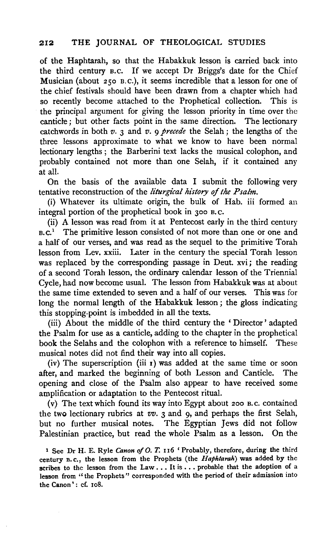of the Haphtarah, so that the Habakkuk lesson is carried back into the third century B.c. If we accept Dr Briggs's date for the Chief Musician (about  $250$  B.C.), it seems incredible that a lesson for one of the chief festivals should have been drawn from a chapter which had so recently become attached to the Prophetical collection. This is the principal argument for giving the lesson priority in time over the canticle; but other facts point in the same direction. The lectionary catchwords in both  $v \cdot 3$  and  $v \cdot 9$  *precede* the Selah; the lengths of the three lessons approximate to what we know to have been normal lectionary lengths ; the Barberini text lacks the musical colophon, and probably contained not more than one Selah, if it contained any at all.

On the basis of the available data I submit the following very tentative reconstruction of the *liturgical history of the Psalm.* 

(i) Whatever its ultimate origin, the bulk of Hab. iii formed an integral portion of the prophetical book in 300 B. c.

(ii) A lesson was read from it at Pentecost early in the third century  $B.C.<sup>1</sup>$  The primitive lesson consisted of not more than one or one and a half of our verses, and was read as the sequel to the primitive Torah lesson from Lev. xxiii. Later in the century the special Torah lesson was replaced by the corresponding passage in Deut. xvi; the reading of a second Torah lesson, the ordinary calendar lesson of the Triennial Cycle, had now become usual. The lesson from Habakkuk was at about the same time extended to seven and a half of our verses. This was for long the normal length of the Habakkuk lesson ; the gloss indicating this stopping-point is imbedded in all the texts.

(iii) About the middle of the third century the ' Director' adapted the Psalm for use as a canticle, adding to the chapter in the prophetical book the Selahs and the colophon with a reference to himself. These musical notes did not find their way into all copies.

(iv) The superscription (iii  $r$ ) was added at the same time or soon after, and marked the beginning of both Lesson and Canticle. The opening and close of the Psalm also appear to have received some amplification or adaptation to the Pentecost ritual.

(v) The text which found its way into Egypt about 200 B. c. contained the two lectionary rubrics at *vv.* 3 and 9, and perhaps the first Selah, but no further musical notes. The Egyptian Jews did not follow Palestinian practice, but read the whole Psalm as a lesson. On the

<sup>1</sup> See Dr H. E. Ryle *Canon of O. T.* 116 'Probably, therefore, during the third century B. c., the lesson from the Prophets (the *Haphtarah)* was added by the scribes to the lesson from the Law . . . It is . . . probable that the adoption of a lesson from "the Prophets" corresponded with the period of their admission into the Canon': cf. 108.